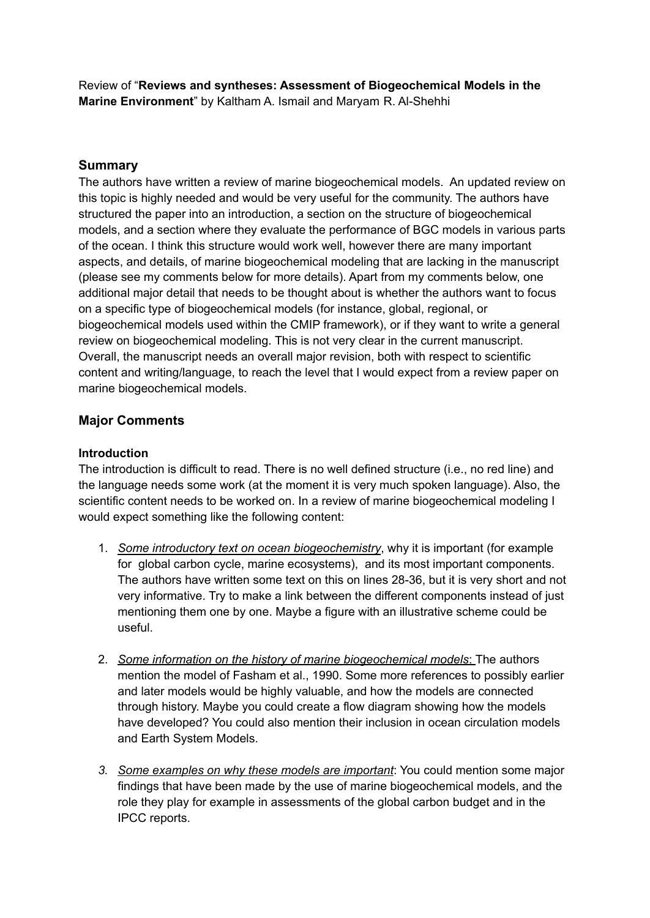Review of "**Reviews and syntheses: Assessment of Biogeochemical Models in the Marine Environment**" by Kaltham A. Ismail and Maryam R. Al-Shehhi

### **Summary**

The authors have written a review of marine biogeochemical models. An updated review on this topic is highly needed and would be very useful for the community. The authors have structured the paper into an introduction, a section on the structure of biogeochemical models, and a section where they evaluate the performance of BGC models in various parts of the ocean. I think this structure would work well, however there are many important aspects, and details, of marine biogeochemical modeling that are lacking in the manuscript (please see my comments below for more details). Apart from my comments below, one additional major detail that needs to be thought about is whether the authors want to focus on a specific type of biogeochemical models (for instance, global, regional, or biogeochemical models used within the CMIP framework), or if they want to write a general review on biogeochemical modeling. This is not very clear in the current manuscript. Overall, the manuscript needs an overall major revision, both with respect to scientific content and writing/language, to reach the level that I would expect from a review paper on marine biogeochemical models.

# **Major Comments**

#### **Introduction**

The introduction is difficult to read. There is no well defined structure (i.e., no red line) and the language needs some work (at the moment it is very much spoken language). Also, the scientific content needs to be worked on. In a review of marine biogeochemical modeling I would expect something like the following content:

- 1. *Some introductory text on ocean biogeochemistry*, why it is important (for example for global carbon cycle, marine ecosystems), and its most important components. The authors have written some text on this on lines 28-36, but it is very short and not very informative. Try to make a link between the different components instead of just mentioning them one by one. Maybe a figure with an illustrative scheme could be useful.
- 2. *Some information on the history of marine biogeochemical models*: The authors mention the model of Fasham et al., 1990. Some more references to possibly earlier and later models would be highly valuable, and how the models are connected through history. Maybe you could create a flow diagram showing how the models have developed? You could also mention their inclusion in ocean circulation models and Earth System Models.
- *3. Some examples on why these models are important*: You could mention some major findings that have been made by the use of marine biogeochemical models, and the role they play for example in assessments of the global carbon budget and in the IPCC reports.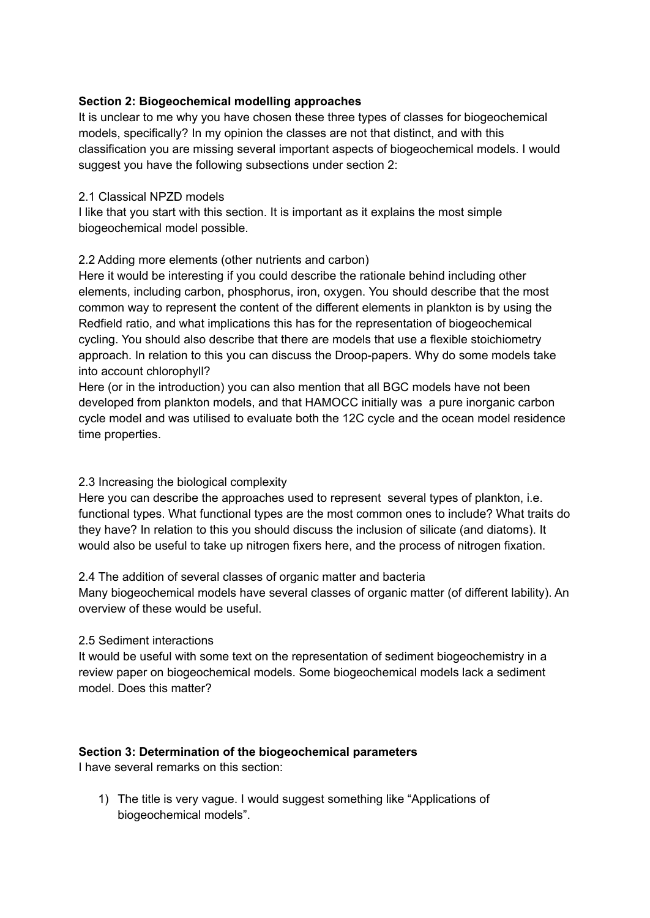# **Section 2: Biogeochemical modelling approaches**

It is unclear to me why you have chosen these three types of classes for biogeochemical models, specifically? In my opinion the classes are not that distinct, and with this classification you are missing several important aspects of biogeochemical models. I would suggest you have the following subsections under section 2:

### 2.1 Classical NPZD models

I like that you start with this section. It is important as it explains the most simple biogeochemical model possible.

# 2.2 Adding more elements (other nutrients and carbon)

Here it would be interesting if you could describe the rationale behind including other elements, including carbon, phosphorus, iron, oxygen. You should describe that the most common way to represent the content of the different elements in plankton is by using the Redfield ratio, and what implications this has for the representation of biogeochemical cycling. You should also describe that there are models that use a flexible stoichiometry approach. In relation to this you can discuss the Droop-papers. Why do some models take into account chlorophyll?

Here (or in the introduction) you can also mention that all BGC models have not been developed from plankton models, and that HAMOCC initially was a pure inorganic carbon cycle model and was utilised to evaluate both the 12C cycle and the ocean model residence time properties.

# 2.3 Increasing the biological complexity

Here you can describe the approaches used to represent several types of plankton, i.e. functional types. What functional types are the most common ones to include? What traits do they have? In relation to this you should discuss the inclusion of silicate (and diatoms). It would also be useful to take up nitrogen fixers here, and the process of nitrogen fixation.

#### 2.4 The addition of several classes of organic matter and bacteria

Many biogeochemical models have several classes of organic matter (of different lability). An overview of these would be useful.

#### 2.5 Sediment interactions

It would be useful with some text on the representation of sediment biogeochemistry in a review paper on biogeochemical models. Some biogeochemical models lack a sediment model. Does this matter?

#### **Section 3: Determination of the biogeochemical parameters**

I have several remarks on this section:

1) The title is very vague. I would suggest something like "Applications of biogeochemical models".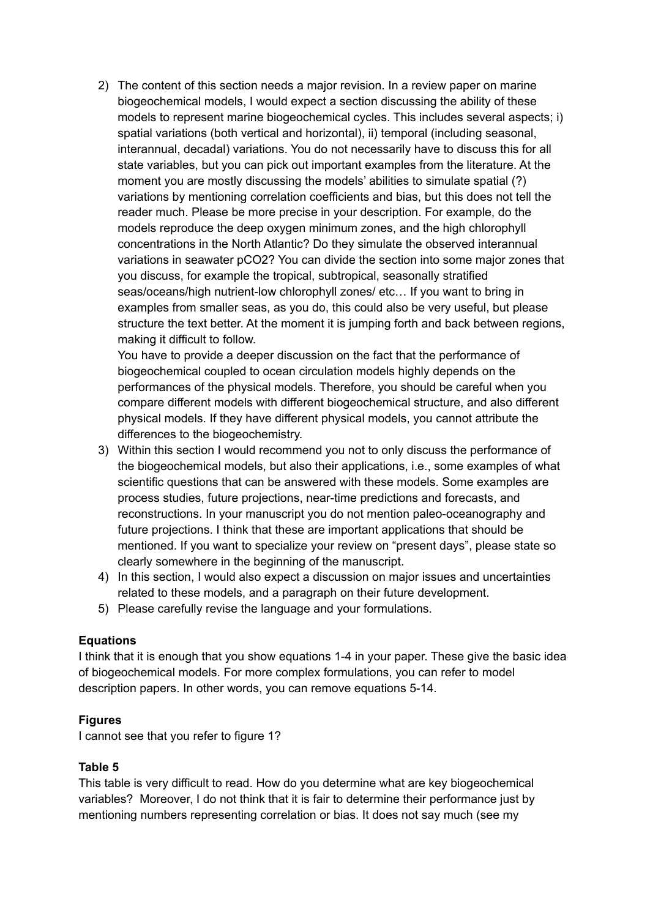2) The content of this section needs a major revision. In a review paper on marine biogeochemical models, I would expect a section discussing the ability of these models to represent marine biogeochemical cycles. This includes several aspects; i) spatial variations (both vertical and horizontal), ii) temporal (including seasonal, interannual, decadal) variations. You do not necessarily have to discuss this for all state variables, but you can pick out important examples from the literature. At the moment you are mostly discussing the models' abilities to simulate spatial (?) variations by mentioning correlation coefficients and bias, but this does not tell the reader much. Please be more precise in your description. For example, do the models reproduce the deep oxygen minimum zones, and the high chlorophyll concentrations in the North Atlantic? Do they simulate the observed interannual variations in seawater pCO2? You can divide the section into some major zones that you discuss, for example the tropical, subtropical, seasonally stratified seas/oceans/high nutrient-low chlorophyll zones/ etc… If you want to bring in examples from smaller seas, as you do, this could also be very useful, but please structure the text better. At the moment it is jumping forth and back between regions, making it difficult to follow.

You have to provide a deeper discussion on the fact that the performance of biogeochemical coupled to ocean circulation models highly depends on the performances of the physical models. Therefore, you should be careful when you compare different models with different biogeochemical structure, and also different physical models. If they have different physical models, you cannot attribute the differences to the biogeochemistry.

- 3) Within this section I would recommend you not to only discuss the performance of the biogeochemical models, but also their applications, i.e., some examples of what scientific questions that can be answered with these models. Some examples are process studies, future projections, near-time predictions and forecasts, and reconstructions. In your manuscript you do not mention paleo-oceanography and future projections. I think that these are important applications that should be mentioned. If you want to specialize your review on "present days", please state so clearly somewhere in the beginning of the manuscript.
- 4) In this section, I would also expect a discussion on major issues and uncertainties related to these models, and a paragraph on their future development.
- 5) Please carefully revise the language and your formulations.

# **Equations**

I think that it is enough that you show equations 1-4 in your paper. These give the basic idea of biogeochemical models. For more complex formulations, you can refer to model description papers. In other words, you can remove equations 5-14.

# **Figures**

I cannot see that you refer to figure 1?

# **Table 5**

This table is very difficult to read. How do you determine what are key biogeochemical variables? Moreover, I do not think that it is fair to determine their performance just by mentioning numbers representing correlation or bias. It does not say much (see my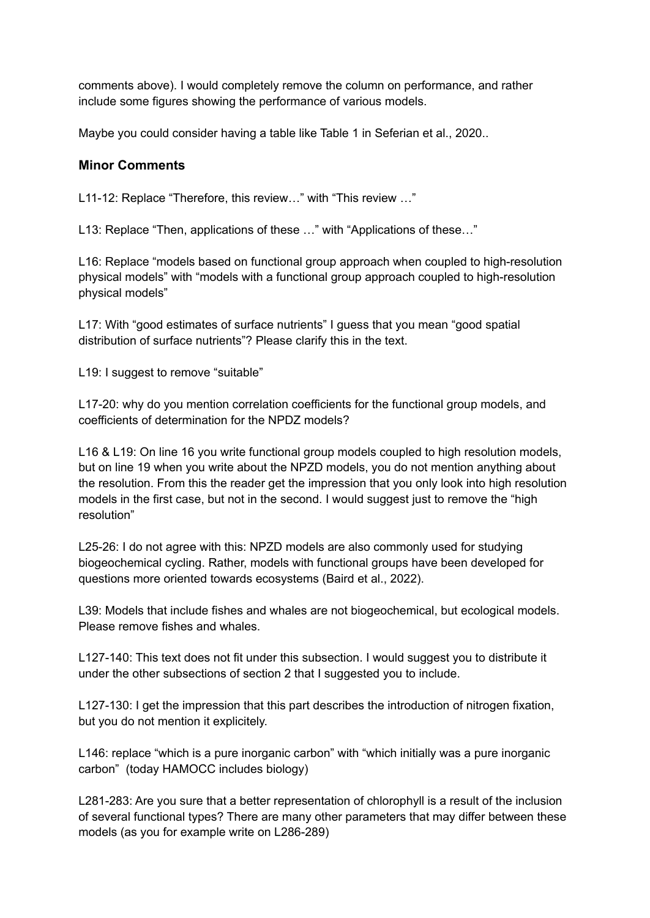comments above). I would completely remove the column on performance, and rather include some figures showing the performance of various models.

Maybe you could consider having a table like Table 1 in Seferian et al., 2020..

# **Minor Comments**

L11-12: Replace "Therefore, this review…" with "This review …"

L13: Replace "Then, applications of these …" with "Applications of these…"

L16: Replace "models based on functional group approach when coupled to high-resolution physical models" with "models with a functional group approach coupled to high-resolution physical models"

L17: With "good estimates of surface nutrients" I guess that you mean "good spatial distribution of surface nutrients"? Please clarify this in the text.

L19: I suggest to remove "suitable"

L17-20: why do you mention correlation coefficients for the functional group models, and coefficients of determination for the NPDZ models?

L16 & L19: On line 16 you write functional group models coupled to high resolution models, but on line 19 when you write about the NPZD models, you do not mention anything about the resolution. From this the reader get the impression that you only look into high resolution models in the first case, but not in the second. I would suggest just to remove the "high resolution"

L25-26: I do not agree with this: NPZD models are also commonly used for studying biogeochemical cycling. Rather, models with functional groups have been developed for questions more oriented towards ecosystems (Baird et al., 2022).

L39: Models that include fishes and whales are not biogeochemical, but ecological models. Please remove fishes and whales.

L127-140: This text does not fit under this subsection. I would suggest you to distribute it under the other subsections of section 2 that I suggested you to include.

L127-130: I get the impression that this part describes the introduction of nitrogen fixation, but you do not mention it explicitely.

L146: replace "which is a pure inorganic carbon" with "which initially was a pure inorganic carbon" (today HAMOCC includes biology)

L281-283: Are you sure that a better representation of chlorophyll is a result of the inclusion of several functional types? There are many other parameters that may differ between these models (as you for example write on L286-289)